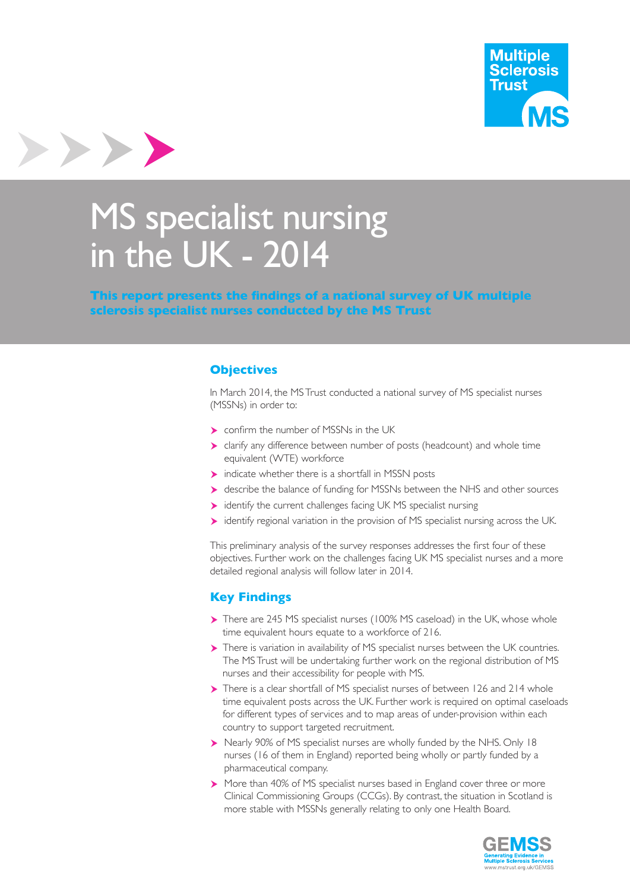



# MS specialist nursing in the UK - 2014

**This report presents the findings of a national survey of UK multiple sclerosis specialist nurses conducted by the MS Trust**

#### **Objectives**

In March 2014, the MS Trust conducted a national survey of MS specialist nurses (MSSNs) in order to:

- **Confirm the number of MSSNs in the UK**
- clarify any difference between number of posts (headcount) and whole time equivalent (WTE) workforce
- $\triangleright$  indicate whether there is a shortfall in MSSN posts
- describe the balance of funding for MSSNs between the NHS and other sources
- identify the current challenges facing UK MS specialist nursing
- identify regional variation in the provision of MS specialist nursing across the UK.

This preliminary analysis of the survey responses addresses the first four of these objectives. Further work on the challenges facing UK MS specialist nurses and a more detailed regional analysis will follow later in 2014.

## **Key Findings**

- There are 245 MS specialist nurses (100% MS caseload) in the UK, whose whole time equivalent hours equate to a workforce of 216.
- There is variation in availability of MS specialist nurses between the UK countries. The MS Trust will be undertaking further work on the regional distribution of MS nurses and their accessibility for people with MS.
- There is a clear shortfall of MS specialist nurses of between 126 and 214 whole time equivalent posts across the UK. Further work is required on optimal caseloads for different types of services and to map areas of under-provision within each country to support targeted recruitment.
- Nearly 90% of MS specialist nurses are wholly funded by the NHS. Only 18 nurses (16 of them in England) reported being wholly or partly funded by a pharmaceutical company.
- More than 40% of MS specialist nurses based in England cover three or more Clinical Commissioning Groups (CCGs). By contrast, the situation in Scotland is more stable with MSSNs generally relating to only one Health Board.

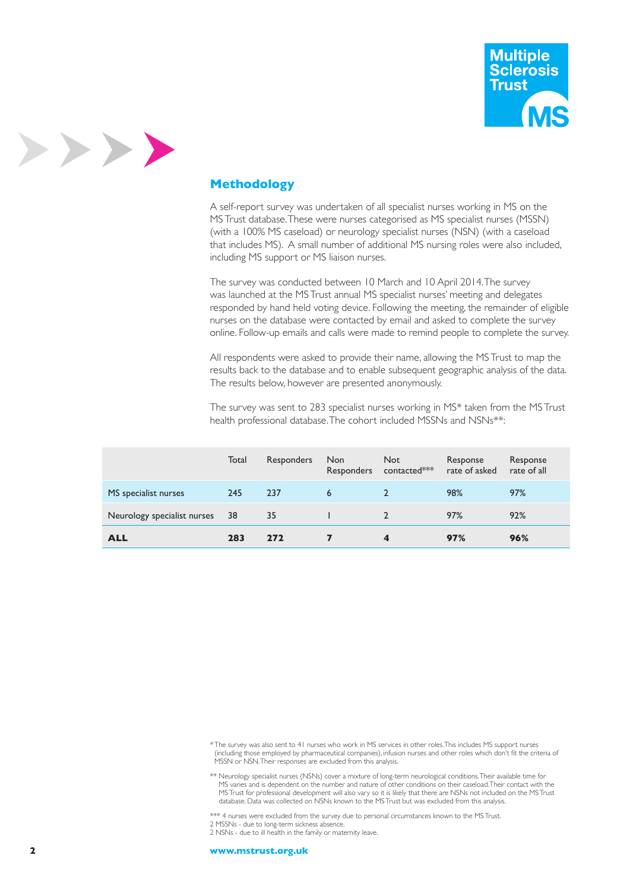

# >>>>

# **Methodology**

A self-report survey was undertaken of all specialist nurses working in MS on the MS Trust database. These were nurses categorised as MS specialist nurses (MSSN) (with a 100% MS caseload) or neurology specialist nurses (NSN) (with a caseload that includes MS). A small number of additional MS nursing roles were also included, including MS support or MS liaison nurses.

The survey was conducted between 10 March and 10 April 2014. The survey was launched at the MS Trust annual MS specialist nurses' meeting and delegates responded by hand held voting device. Following the meeting, the remainder of eligible nurses on the database were contacted by email and asked to complete the survey online. Follow-up emails and calls were made to remind people to complete the survey.

All respondents were asked to provide their name, allowing the MS Trust to map the results back to the database and to enable subsequent geographic analysis of the data. The results below, however are presented anonymously.

The survey was sent to 283 specialist nurses working in MS\* taken from the MS Trust health professional database. The cohort included MSSNs and NSNs<sup>\*\*</sup>:

|                             | Total | Responders | <b>Non</b> | Not<br>Responders contacted*** | Response<br>rate of asked | Response<br>rate of all |
|-----------------------------|-------|------------|------------|--------------------------------|---------------------------|-------------------------|
| MS specialist nurses        | 245   | 237        | 6          |                                | 98%                       | 97%                     |
| Neurology specialist nurses | 38    | 35         |            |                                | 97%                       | 92%                     |
| <b>ALL</b>                  | 283   | 272        |            | 4                              | 97%                       | 96%                     |

\* The survey was also sent to 41 nurses who work in MS services in other roles. This includes MS support nurses (including those employed by pharmaceutical companies), infusion nurses and other roles which don't fit the criteria of MSSN or NSN. Their responses are excluded from this analysis.

\*\* Neurology specialist nurses (NSNs) cover a mixture of long-term neurological conditions. Their available time for MS varies and is dependent on the number and nature of other conditions on their caseload. Their contact with the MS Trust for professional development will also vary so it is likely that there are NSNs not included on the MS Trust database. Data was collected on NSNs known to the MS Trust but was excluded from this analysis.

\*\*\* 4 nurses were excluded from the survey due to personal circumstances known to the MS Trust.

2 MSSNs - due to long-term sickness absence.

2 NSNs - due to ill health in the family or maternity leave.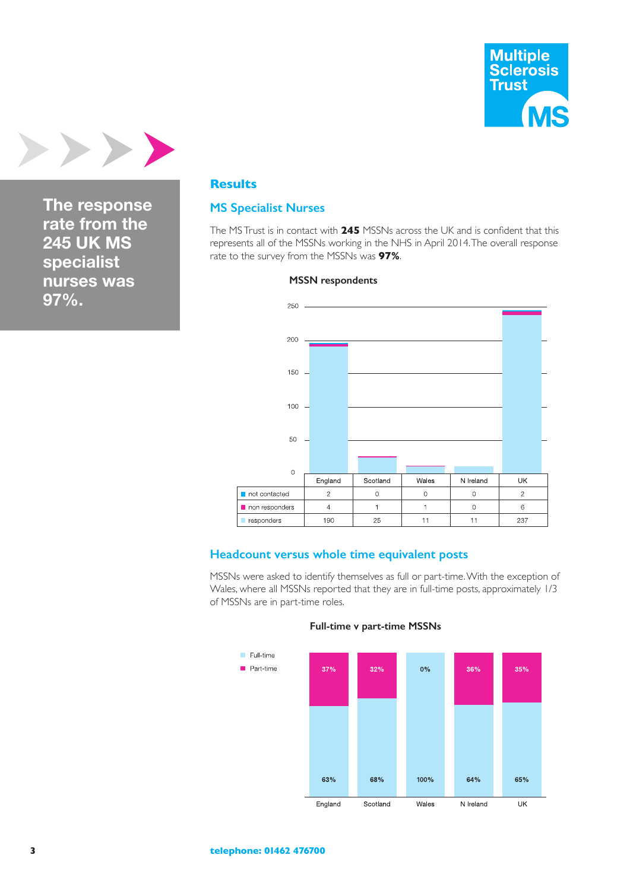



**The response rate from the 245 UK MS specialist nurses was 97%.**

#### **Results**

#### **MS Specialist Nurses**

The MS Trust is in contact with **245** MSSNs across the UK and is confident that this represents all of the MSSNs working in the NHS in April 2014. The overall response rate to the survey from the MSSNs was **97%**.



#### **MSSN respondents**

#### **Headcount versus whole time equivalent posts**

MSSNs were asked to identify themselves as full or part-time. With the exception of Wales, where all MSSNs reported that they are in full-time posts, approximately 1/3 of MSSNs are in part-time roles.



#### **Full-time v part-time MSSNs**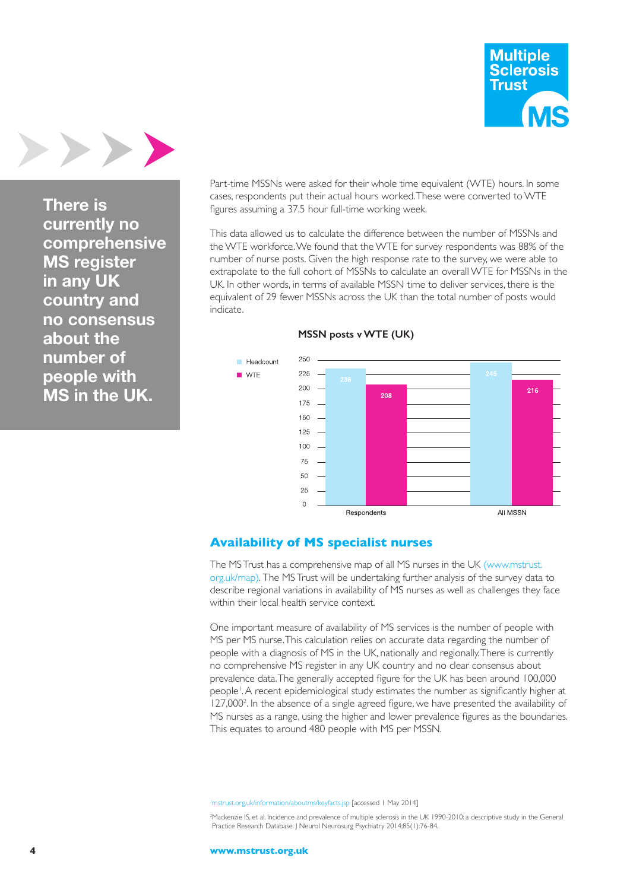



**There is currently no comprehensive MS register in any UK country and no consensus about the number of people with MS in the UK.**

Part-time MSSNs were asked for their whole time equivalent (WTE) hours. In some cases, respondents put their actual hours worked. These were converted to WTE figures assuming a 37.5 hour full-time working week.

This data allowed us to calculate the difference between the number of MSSNs and the WTE workforce. We found that the WTE for survey respondents was 88% of the number of nurse posts. Given the high response rate to the survey, we were able to extrapolate to the full cohort of MSSNs to calculate an overall WTE for MSSNs in the UK. In other words, in terms of available MSSN time to deliver services, there is the equivalent of 29 fewer MSSNs across the UK than the total number of posts would indicate.



#### **MSSN posts v WTE (UK)**

#### **Availability of MS specialist nurses**

The MS Trust has a comprehensive map of all MS nurses in the UK (www.mstrust. org.uk/map). The MS Trust will be undertaking further analysis of the survey data to describe regional variations in availability of MS nurses as well as challenges they face within their local health service context.

One important measure of availability of MS services is the number of people with MS per MS nurse. This calculation relies on accurate data regarding the number of people with a diagnosis of MS in the UK, nationally and regionally. There is currently no comprehensive MS register in any UK country and no clear consensus about prevalence data. The generally accepted figure for the UK has been around 100,000 people1 . A recent epidemiological study estimates the number as significantly higher at 127,000<sup>2</sup>. In the absence of a single agreed figure, we have presented the availability of MS nurses as a range, using the higher and lower prevalence figures as the boundaries. This equates to around 480 people with MS per MSSN.

1 mstrust.org.uk/information/aboutms/keyfacts.jsp [accessed 1 May 2014]

<sup>2</sup> Mackenzie IS, et al. Incidence and prevalence of multiple sclerosis in the UK 1990-2010: a descriptive study in the General Practice Research Database. J Neurol Neurosurg Psychiatry 2014;85(1):76-84.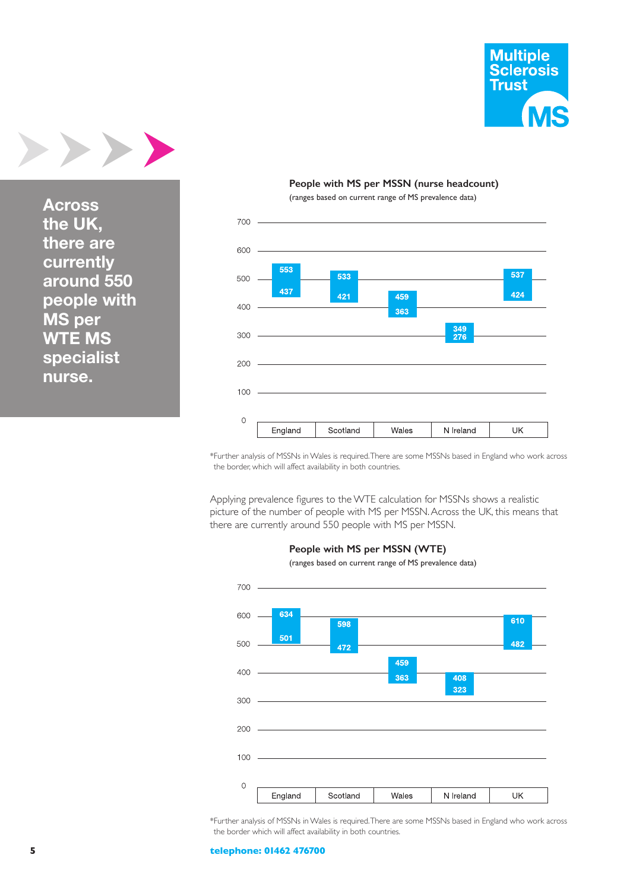

**Across the UK, there are currently around 550 people with MS per WTE MS specialist nurse.**

#### **People with MS per MSSN (nurse headcount)**

(ranges based on current range of MS prevalence data)



\*Further analysis of MSSNs in Wales is required. There are some MSSNs based in England who work across the border, which will affect availability in both countries.

Applying prevalence figures to the WTE calculation for MSSNs shows a realistic picture of the number of people with MS per MSSN. Across the UK, this means that there are currently around 550 people with MS per MSSN.



 **People with MS per MSSN (WTE)**

(ranges based on current range of MS prevalence data)

\*Further analysis of MSSNs in Wales is required. There are some MSSNs based in England who work across the border which will affect availability in both countries.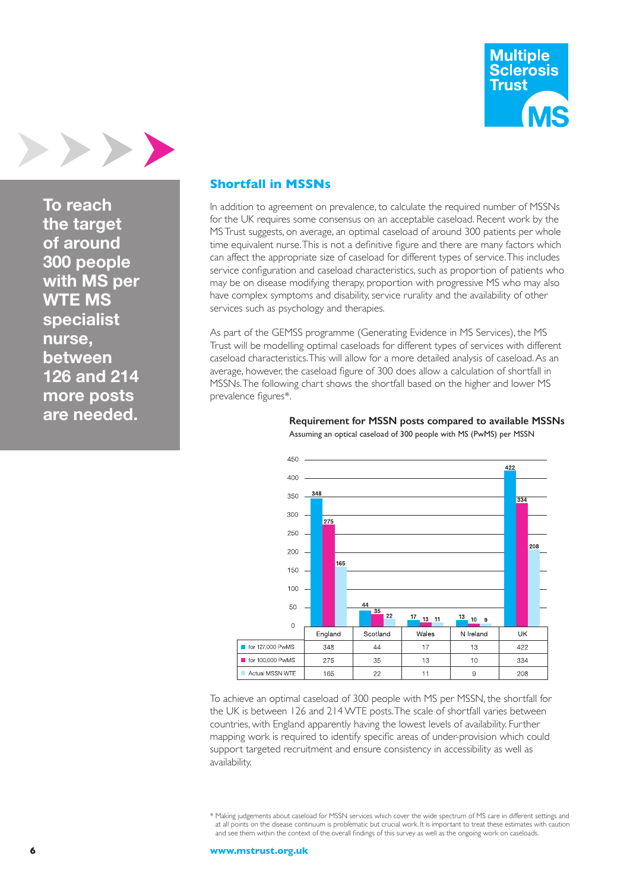



**To reach the target of around 300 people with MS per WTE MS specialist nurse, between 126 and 214 more posts are needed.**

#### **Shortfall in MSSNs**

In addition to agreement on prevalence, to calculate the required number of MSSNs for the UK requires some consensus on an acceptable caseload. Recent work by the MS Trust suggests, on average, an optimal caseload of around 300 patients per whole time equivalent nurse. This is not a definitive figure and there are many factors which can affect the appropriate size of caseload for different types of service. This includes service configuration and caseload characteristics, such as proportion of patients who may be on disease modifying therapy, proportion with progressive MS who may also have complex symptoms and disability, service rurality and the availability of other services such as psychology and therapies.

As part of the GEMSS programme (Generating Evidence in MS Services), the MS Trust will be modelling optimal caseloads for different types of services with different caseload characteristics. This will allow for a more detailed analysis of caseload. As an average, however, the caseload figure of 300 does allow a calculation of shortfall in MSSNs. The following chart shows the shortfall based on the higher and lower MS prevalence figures\*.



 **Requirement for MSSN posts compared to available MSSNs** Assuming an optical caseload of 300 people with MS (PwMS) per MSSN

To achieve an optimal caseload of 300 people with MS per MSSN, the shortfall for the UK is between 126 and 214 WTE posts. The scale of shortfall varies between countries, with England apparently having the lowest levels of availability. Further mapping work is required to identify specific areas of under-provision which could support targeted recruitment and ensure consistency in accessibility as well as availability.

\* Making judgements about caseload for MSSN services which cover the wide spectrum of MS care in different settings and at all points on the disease continuum is problematic but crucial work. It is important to treat these estimates with caution and see them within the context of the overall findings of this survey as well as the ongoing work on caseloads.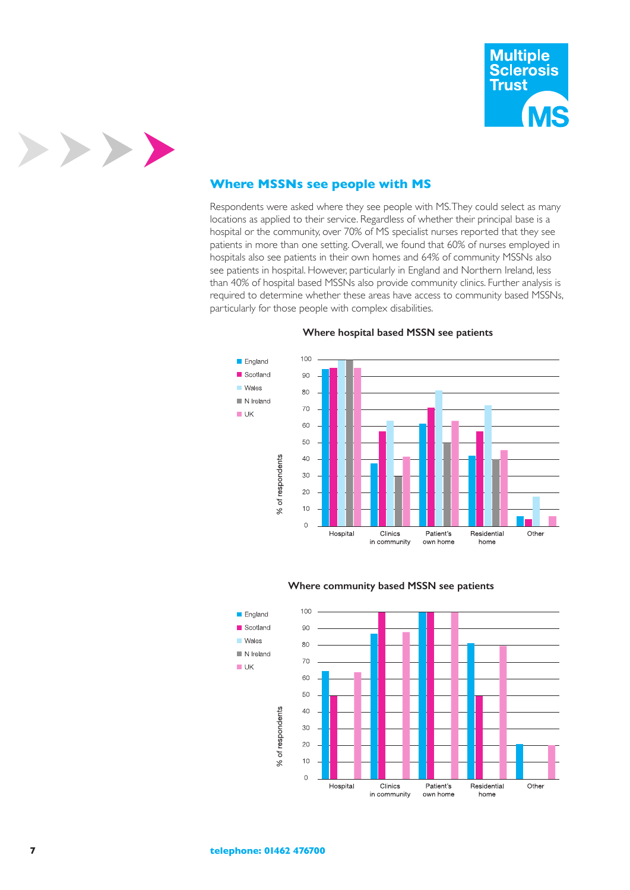



#### **Where MSSNs see people with MS**

Respondents were asked where they see people with MS. They could select as many locations as applied to their service. Regardless of whether their principal base is a hospital or the community, over 70% of MS specialist nurses reported that they see patients in more than one setting. Overall, we found that 60% of nurses employed in hospitals also see patients in their own homes and 64% of community MSSNs also see patients in hospital. However, particularly in England and Northern Ireland, less than 40% of hospital based MSSNs also provide community clinics. Further analysis is required to determine whether these areas have access to community based MSSNs, particularly for those people with complex disabilities.



#### **Where hospital based MSSN see patients**



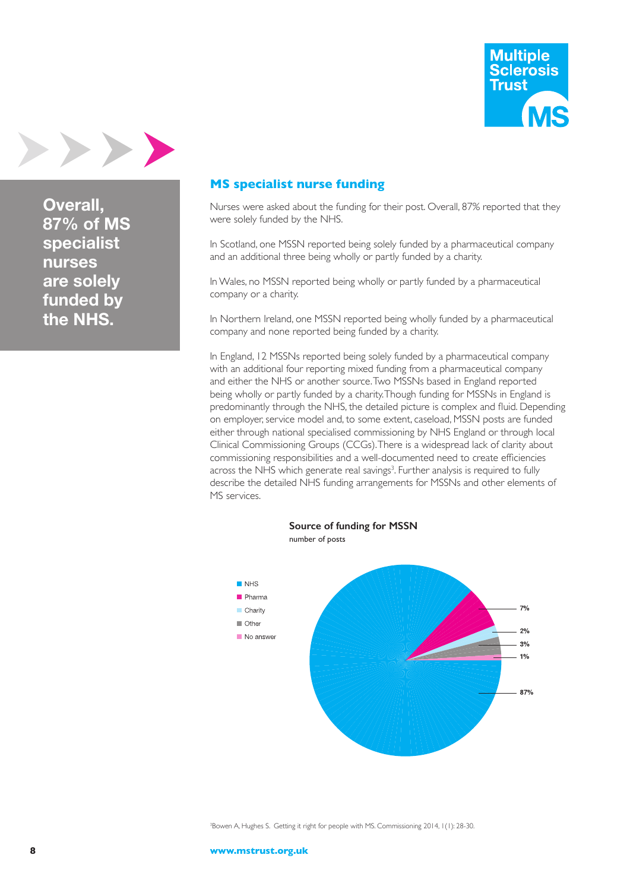



**Overall, 87% of MS specialist nurses are solely funded by the NHS.**

# **MS specialist nurse funding**

Nurses were asked about the funding for their post. Overall, 87% reported that they were solely funded by the NHS.

In Scotland, one MSSN reported being solely funded by a pharmaceutical company and an additional three being wholly or partly funded by a charity.

In Wales, no MSSN reported being wholly or partly funded by a pharmaceutical company or a charity.

In Northern Ireland, one MSSN reported being wholly funded by a pharmaceutical company and none reported being funded by a charity.

In England, 12 MSSNs reported being solely funded by a pharmaceutical company with an additional four reporting mixed funding from a pharmaceutical company and either the NHS or another source. Two MSSNs based in England reported being wholly or partly funded by a charity. Though funding for MSSNs in England is predominantly through the NHS, the detailed picture is complex and fluid. Depending on employer, service model and, to some extent, caseload, MSSN posts are funded either through national specialised commissioning by NHS England or through local Clinical Commissioning Groups (CCGs). There is a widespread lack of clarity about commissioning responsibilities and a well-documented need to create efficiencies across the NHS which generate real savings<sup>3</sup>. Further analysis is required to fully describe the detailed NHS funding arrangements for MSSNs and other elements of MS services.

 **Source of funding for MSSN**



3 Bowen A, Hughes S. Getting it right for people with MS. Commissioning 2014, 1(1): 28-30.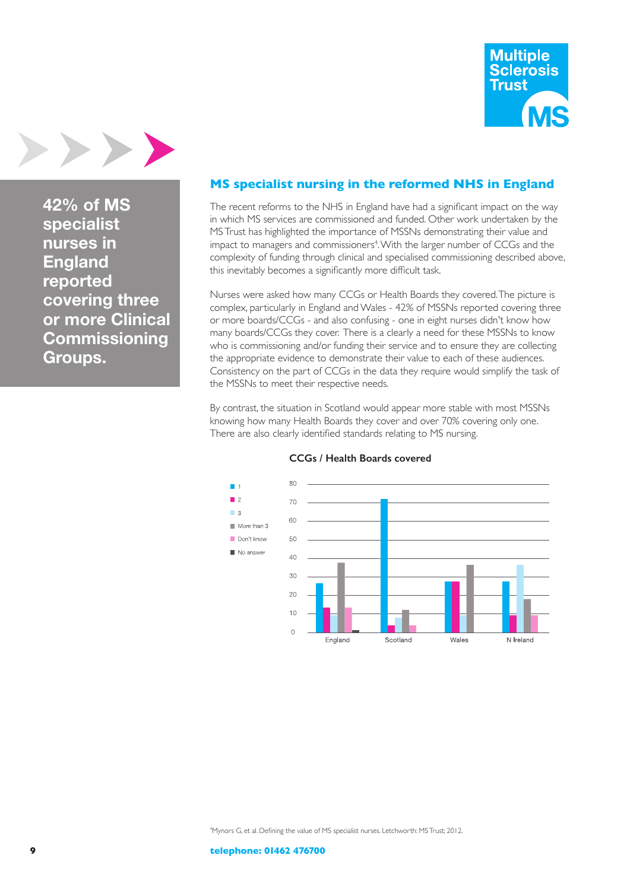



**42% of MS specialist nurses in England reported covering three or more Clinical Commissioning Groups.**

## **MS specialist nursing in the reformed NHS in England**

The recent reforms to the NHS in England have had a significant impact on the way in which MS services are commissioned and funded. Other work undertaken by the MS Trust has highlighted the importance of MSSNs demonstrating their value and impact to managers and commissioners<sup>4</sup> . With the larger number of CCGs and the complexity of funding through clinical and specialised commissioning described above, this inevitably becomes a significantly more difficult task.

Nurses were asked how many CCGs or Health Boards they covered. The picture is complex, particularly in England and Wales - 42% of MSSNs reported covering three or more boards/CCGs - and also confusing - one in eight nurses didn't know how many boards/CCGs they cover. There is a clearly a need for these MSSNs to know who is commissioning and/or funding their service and to ensure they are collecting the appropriate evidence to demonstrate their value to each of these audiences. Consistency on the part of CCGs in the data they require would simplify the task of the MSSNs to meet their respective needs.

By contrast, the situation in Scotland would appear more stable with most MSSNs knowing how many Health Boards they cover and over 70% covering only one. There are also clearly identified standards relating to MS nursing.



#### **CCGs / Health Boards covered**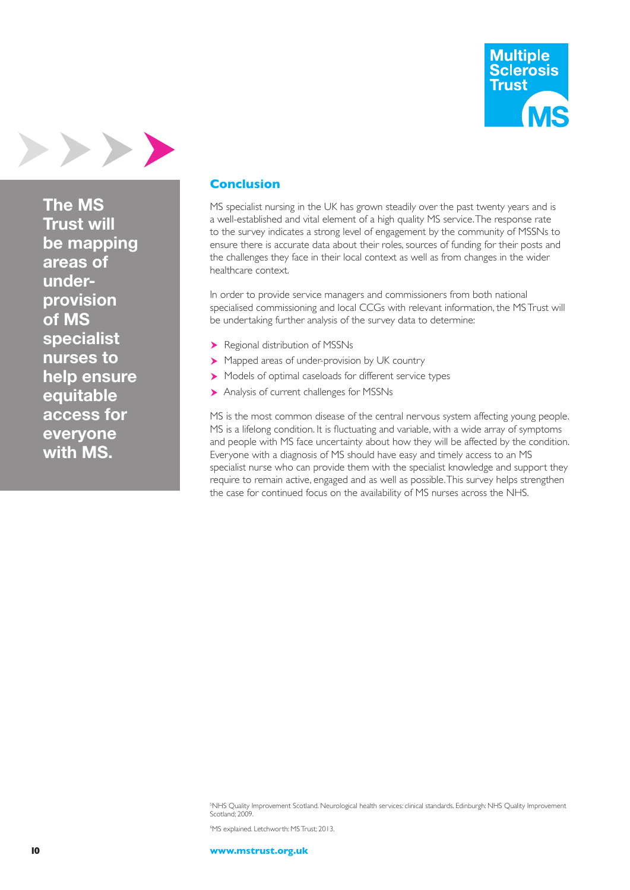



**The MS Trust will be mapping areas of underprovision of MS specialist nurses to help ensure equitable access for everyone with MS.**

#### **Conclusion**

MS specialist nursing in the UK has grown steadily over the past twenty years and is a well-established and vital element of a high quality MS service. The response rate to the survey indicates a strong level of engagement by the community of MSSNs to ensure there is accurate data about their roles, sources of funding for their posts and the challenges they face in their local context as well as from changes in the wider healthcare context.

In order to provide service managers and commissioners from both national specialised commissioning and local CCGs with relevant information, the MS Trust will be undertaking further analysis of the survey data to determine:

- Regional distribution of MSSNs
- Mapped areas of under-provision by UK country
- Models of optimal caseloads for different service types
- Analysis of current challenges for MSSNs

MS is the most common disease of the central nervous system affecting young people. MS is a lifelong condition. It is fluctuating and variable, with a wide array of symptoms and people with MS face uncertainty about how they will be affected by the condition. Everyone with a diagnosis of MS should have easy and timely access to an MS specialist nurse who can provide them with the specialist knowledge and support they require to remain active, engaged and as well as possible. This survey helps strengthen the case for continued focus on the availability of MS nurses across the NHS.

5 NHS Quality Improvement Scotland. Neurological health services: clinical standards. Edinburgh: NHS Quality Improvement Scotland; 2009.

6 MS explained. Letchworth: MS Trust; 2013.